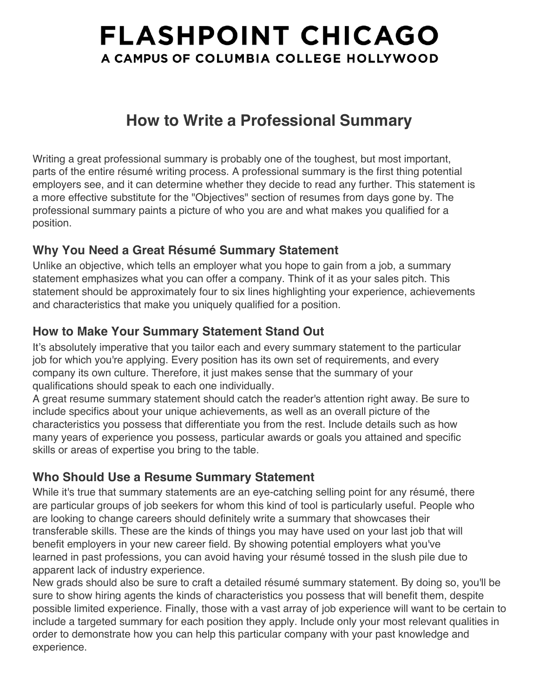# **FLASHPOINT CHICAGO** A CAMPUS OF COLUMBIA COLLEGE HOLLYWOOD

## **How to Write a Professional Summary**

Writing a great professional summary is probably one of the toughest, but most important, parts of the entire résumé writing process. A professional summary is the first thing potential employers see, and it can determine whether they decide to read any further. This statement is a more effective substitute for the "Objectives" section of resumes from days gone by. The professional summary paints a picture of who you are and what makes you qualified for a position.

## **Why You Need a Great Résumé Summary Statement**

Unlike an objective, which tells an employer what you hope to gain from a job, a summary statement emphasizes what you can offer a company. Think of it as your sales pitch. This statement should be approximately four to six lines highlighting your experience, achievements and characteristics that make you uniquely qualified for a position.

### **How to Make Your Summary Statement Stand Out**

It's absolutely imperative that you tailor each and every summary statement to the particular job for which you're applying. Every position has its own set of requirements, and every company its own culture. Therefore, it just makes sense that the summary of your qualifications should speak to each one individually.

A great resume summary statement should catch the reader's attention right away. Be sure to include specifics about your unique achievements, as well as an overall picture of the characteristics you possess that differentiate you from the rest. Include details such as how many years of experience you possess, particular awards or goals you attained and specific skills or areas of expertise you bring to the table.

## **Who Should Use a Resume Summary Statement**

While it's true that summary statements are an eye-catching selling point for any résumé, there are particular groups of job seekers for whom this kind of tool is particularly useful. People who are looking to change careers should definitely write a summary that showcases their transferable skills. These are the kinds of things you may have used on your last job that will benefit employers in your new career field. By showing potential employers what you've learned in past professions, you can avoid having your résumé tossed in the slush pile due to apparent lack of industry experience.

New grads should also be sure to craft a detailed résumé summary statement. By doing so, you'll be sure to show hiring agents the kinds of characteristics you possess that will benefit them, despite possible limited experience. Finally, those with a vast array of job experience will want to be certain to include a targeted summary for each position they apply. Include only your most relevant qualities in order to demonstrate how you can help this particular company with your past knowledge and experience.